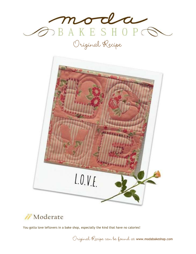

## Original Recipe





You gotta love leftovers in a bake shop, especially the kind that have no calories!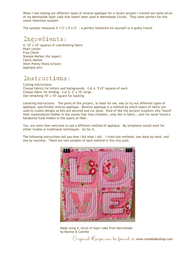When I was testing out different types of reverse applique for a recent project I trotted out some slices of my Marmalade layer cake that hadn't been used in Marmalade Circles. They were perfect for this sweet Valentine sampler.

The sampler measures 9 1/2" x 9 1/2" - a perfect Valentine for yourself or a quilty friend.

## Ingredients:

4, 10" x 10" squares of coordinating fabric Pearl cotton Fray Check Sharpie Marker (for paper) Fabric Marker Short Pointy Sharp scissors Applique pins

## Instructions:

Cutting Instructions: Choose fabrics for letters and backgrounds. Cut 4, 5"x5" squares of each Choose fabric for binding. Cut 5, 2" x 10" strips Use remaining 10" x 10" square for backing

Lettering Instructions: The point of this project, at least for me, was to try out different types of applique, specifically reverse applique. Reverse applique is a method by which layers of fabric are used to create designs as bits are secured and cut away. Kind of like the ancient sculptors who "found" their masterpieces hidden in the stones that they chiseled...only this is fabric...and I've never found a handsome hunk hidden in the layers of fiber.

You are more than welcome to use a different method of applique. My templates would work for either fusible or traditional techniques. Go for it.

The following instructions tell you how I did what I did. I tried two methods, one done by hand, and one by machine. There are two samples of each method in this tiny quilt.



Made using 4, slices of layer cake from Marmalade by Bonnie & Camille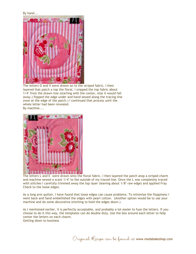By hand...



The letters O and V were drawn on to the striped fabric. I then layered that patch a top the floral. I snipped the top fabric about 1/4" from the drawn line (starting with the center, else it would fall away.) flipped the edge under and hand sewed along the tracing line (now at the edge of the patch.) I continued that process until the whole letter had been revealed. By machine....



The letters L and E were drawn onto the floral fabric. I then layered the patch atop a striped charm and machine sewed a scant 1/4" to the outside of my traced line. Once the L was completely traced with stitches I carefully trimmed away the top layer (leaving about 1/8" raw edge) and applied Fray Check to the loose edges.

As a long arm quilter, I have found that loose edges can cause problems. To minimize the floppiness I went back and hand embellished the edges with pearl cotton. (Another option would be to use your machine and do some decorative stitching to hold the edges down.)

As I mentioned earlier, it is perfectly acceptable, and probably a lot easier to fuse the letters. If you choose to do it this way, the templates can do double duty. Use the box around each letter to help center the letters on each charm. Getting down to business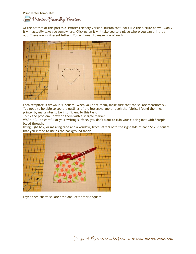Print letter templates.



At the bottom of this post is a "Printer Friendly Version" button that looks like the picture above....only it will actually take you somewhere. Clicking on it will take you to a place where you can print it all out. There are 4 different letters. You will need to make one of each.



Each template is drawn in 5" square. When you print them, make sure that the square measures 5". You need to be able to see the outlines of the letters/shape through the fabric. I found the lines printer by my printer to be insufficient to this task.

To fix the problem I drew on them with a sharpie marker.

WARNING - be careful of your writing surface, you don't want to ruin your cutting mat with Sharpie bleed through.

Using light box, or masking tape and a window, trace letters onto the right side of each  $5" \times 5"$  square that you intend to use as the background fabric.



Layer each charm square atop one letter fabric square.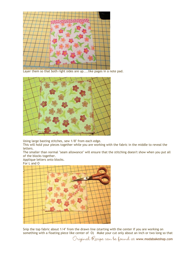

Layer them so that both right sides are up....like pages in a note pad.



Using large basting stitches, sew 1/8" from each edge.

This will hold your pieces together while you are working with the fabric in the middle to reveal the letters.

The smaller than normal "seam allowance" will ensure that the stitching doesn't show when you put all of the blocks together.

Applique letters onto blocks.

For L and O



Snip the top fabric about 1/4" from the drawn line (starting with the center if you are working on something with a floating piece like center of O) Make your cut only about an inch or two long so that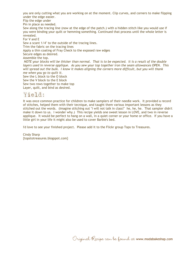you are only cutting what you are working on at the moment. Clip curves, and corners to make flipping under the edge easier.

Flip the edge under

Pin in place as needed.

Sew along the tracing line (now at the edge of the patch.) with a hidden stitch like you would use if you were binding your quilt or hemming something. Continued that process until the whole letter is revealed.

For V and E

Sew a scant 1/4" to the outside of the tracing lines.

Trim the fabric on the tracing lines

Apply a thin coating of Fray Check to the exposed raw edges

Secure edges as desired.

Assemble the top.

*NOTE your blocks will be thicker than normal. That is to be expected. It is a result of the double layers used in reverse applique. As you sew your top together iron the seam allowances OPEN. This will spread out the bulk. I know it makes aligning the corners more difficult, but you will thank me when you go to quilt it.* 

Sew the L block to the O block Sew the V block to the E block Sew two rows together to make top Layer, quilt, and bind as desired.

## Yield:

It was once common practice for children to make samplers of their needle work. It provided a record of stitches, helped them with their tecnique, and taught them various important lessons as they stitched out the words. (Imagine stitching out "I will not talk in class!" he, he, he. That sampler didn't make it down to us. I wonder why.) This recipe yields one sweet lesson in LOVE, and two in reverse applique. It would be perfect to hang on a wall, in a quiet corner or your home or office. If you have a little girl in your life it might also be used to cover Barbie's bed.

I'd love to see your finished project. Please add it to the Flickr group Tops to Treasures.

Cindy Sharp {topstotreasures.blogspot.com}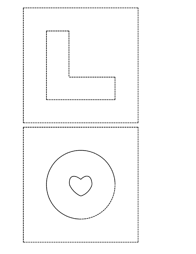